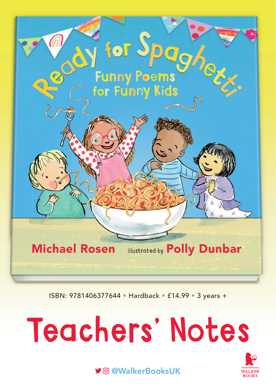

ISBN: 9781406377644 • Hardback • £14.99 • 3 years +

# Teachers' Notes



@WalkerBooksUK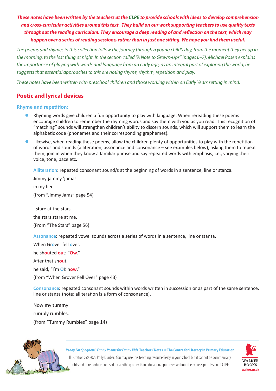*These notes have been written by the teachers at the [CLPE](https://clpe.org.uk/) to provide schools with ideas to develop comprehension and cross-curricular activities around this text. They build on our work supporting teachers to use quality texts throughout the reading curriculum. They encourage a deep reading of and reflection on the text, which may happen over a series of reading sessions, rather than in just one sitting. We hope you find them useful.*

*The poems and rhymes in this collection follow the journey through a young child's day, from the moment they get up in the morning, to the last thing at night. In the section called "A Note to Grown-Ups" (pages 6–7), Michael Rosen explains the importance of playing with words and language from an early age, as an integral part of exploring the world; he suggests that essential approaches to this are noting rhyme, rhythm, repetition and play.* 

*These notes have been written with preschool children and those working within an Early Years setting in mind.*

# **Poetic and lyrical devices**

#### **Rhyme and repetition:**

- Rhyming words give children a fun opportunity to play with language. When rereading these poems encourage children to remember the rhyming words and say them with you as you read. This recognition of "matching" sounds will strengthen children's ability to discern sounds, which will support them to learn the alphabetic code (phonemes and their corresponding graphemes).
- Likewise, when reading these poems, allow the children plenty of opportunities to play with the repetition of words and sounds (alliteration, assonance and consonance – see examples below), asking them to repeat them, join in when they know a familiar phrase and say repeated words with emphasis, i.e., varying their voice, tone, pace etc.

**Alliteration:** repeated consonant sound/s at the beginning of words in a sentence, line or stanza.

**J**immy **j**ammy '**j**amas in my bed. (from "Jimmy Jams" page 54)

the **st**ars **st**are at me. (From "The Stars" page 56)

I **st**are at the **st**ars –

**Assonance:** repeated vowel sounds across a series of words in a sentence, line or stanza.

When Gr**o**ver fell **o**ver, he sh**ou**ted **ou**t: "**Ow**." After that sh**ou**t, he said, "I'm **O**K n**ow**." (from "When Grover Fell Over" page 43)

**Consonance:** repeated consonant sounds within words written in succession or as part of the same sentence, line or stanza (note: alliteration is a form of consonance).

Now **m**y tu**mm**y ru**m**bly ru**m**bles. (from "Tummy Rumbles" page 14)



*Ready For Spaghetti: Funny Poems for Funny Kids* **Teachers' Notes** *©* **The Centre for Literacy in Primary Education**

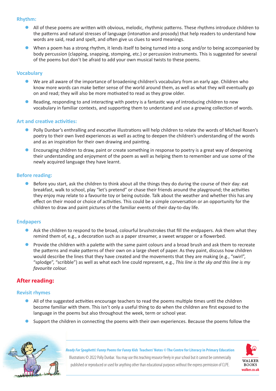#### **Rhythm:**

- All of these poems are written with obvious, melodic, rhythmic patterns. These rhythms introduce children to the patterns and natural stresses of language (intonation and prosody) that help readers to understand how words are said, read and spelt, and often give us clues to word meanings.
- When a poem has a strong rhythm, it lends itself to being turned into a song and/or to being accompanied by body percussion (clapping, snapping, stomping, etc.) or percussion instruments. This is suggested for several of the poems but don't be afraid to add your own musical twists to these poems.

#### **Vocabulary**

- We are all aware of the importance of broadening children's vocabulary from an early age. Children who know more words can make better sense of the world around them, as well as what they will eventually go on and read; they will also be more motivated to read as they grow older.
- Reading, responding to and interacting with poetry is a fantastic way of introducing children to new vocabulary in familiar contexts, and supporting them to understand and use a growing collection of words.

#### **Art and creative activities:**

- Polly Dunbar's enthralling and evocative illustrations will help children to relate the words of Michael Rosen's poetry to their own lived experiences as well as acting to deepen the children's understanding of the words and as an inspiration for their own drawing and painting.
- Encouraging children to draw, paint or create something in response to poetry is a great way of deepening their understanding and enjoyment of the poem as well as helping them to remember and use some of the newly acquired language they have learnt.

#### **Before reading:**

Before you start, ask the children to think about all the things they do during the course of their day: eat breakfast, walk to school, play "let's pretend" or chase their friends around the playground; the activities they enjoy may relate to a favourite toy or being outside. Talk about the weather and whether this has any effect on their mood or choice of activities. This could be a simple conversation or an opportunity for the children to draw and paint pictures of the familiar events of their day-to-day life.

#### **Endpapers**

- $\bullet$  Ask the children to respond to the broad, colourful brushstrokes that fill the endpapers. Ask them what they remind them of, e.g., a decoration such as a paper streamer, a sweet wrapper or a flowerbed.
- **•** Provide the children with a palette with the same paint colours and a broad brush and ask them to recreate the patterns and make patterns of their own on a large sheet of paper. As they paint, discuss how children would describe the lines that they have created and the movements that they are making (e.g., "swirl", "splodge", "scribble") as well as what each line could represent, e.g., *This line is the sky and this line is my favourite colour.*

# **After reading:**

#### **Revisit rhymes**

- All of the suggested activities encourage teachers to read the poems multiple times until the children become familiar with them. This isn't only a useful thing to do when the children are first exposed to the language in the poems but also throughout the week, term or school year.
- Support the children in connecting the poems with their own experiences. Because the poems follow the



*Ready For Spaghetti: Funny Poems for Funny Kids* **Teachers' Notes** *©* **The Centre for Literacy in Primary Education** Illustrations © 2022 Polly Dunbar. You may use this teaching resource freely in your school but it cannot be commercially



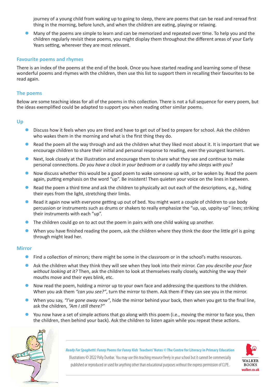journey of a young child from waking up to going to sleep, there are poems that can be read and reread first thing in the morning, before lunch, and when the children are eating, playing or relaxing.

Many of the poems are simple to learn and can be memorized and repeated over time. To help you and the children regularly revisit these poems, you might display them throughout the different areas of your Early Years setting, wherever they are most relevant.

#### **Favourite poems and rhymes**

There is an index of the poems at the end of the book. Once you have started reading and learning some of these wonderful poems and rhymes with the children, then use this list to support them in recalling their favourites to be read again.

#### **The poems**

Below are some teaching ideas for all of the poems in this collection. There is not a full sequence for every poem, but the ideas exemplified could be adapted to support you when reading other similar poems.

#### **Up**

- Discuss how it feels when you are tired and have to get out of bed to prepare for school. Ask the children who wakes them in the morning and what is the first thing they do.
- Read the poem all the way through and ask the children what they liked most about it. It is important that we encourage children to share their initial and personal response to reading, even the youngest learners.
- Next, look closely at the illustration and encourage them to share what they see and continue to make personal connections. *Do you have a clock in your bedroom or a cuddly toy who sleeps with you?*
- Now discuss whether this would be a good poem to wake someone up with, or be woken by. Read the poem again, putting emphasis on the word "up". Be insistent! Then quieten your voice on the lines in between.
- Read the poem a third time and ask the children to physically act out each of the descriptions, e.g., hiding their eyes from the light, stretching their limbs.
- Read it again now with everyone getting up out of bed. You might want a couple of children to use body percussion or instruments such as drums or shakers to really emphasize the "up, up, uppity-up" lines; striking their instruments with each "up".
- The children could go on to act out the poem in pairs with one child waking up another.
- When you have finished reading the poem, ask the children where they think the door the little girl is going through might lead her.

#### **Mirror**

- Find a collection of mirrors; there might be some in the classroom or in the school's maths resources.
- z Ask the children what they think they will see when they look into their mirror. *Can you describe your face without looking at it?* Then, ask the children to look at themselves really closely, watching the way their mouths move and their eyes blink, etc.
- Now read the poem, holding a mirror up to your own face and addressing the questions to the children. When you ask them *"can you see?"*, turn the mirror to them. Ask them if they can see you in the mirror.
- **•** When you say, *"I've gone away now"*, hide the mirror behind your back, then when you get to the final line, ask the children, *"Am I still there?"*
- You now have a set of simple actions that go along with this poem (i.e., moving the mirror to face you, then the children, then behind your back). Ask the children to listen again while you repeat these actions.



*Ready For Spaghetti: Funny Poems for Funny Kids* **Teachers' Notes** *©* **The Centre for Literacy in Primary Education**

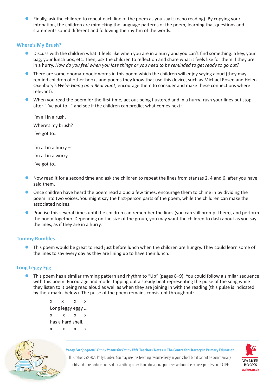Finally, ask the children to repeat each line of the poem as you say it (echo reading). By copying your intonation, the children are mimicking the language patterns of the poem, learning that questions and statements sound different and following the rhythm of the words.

#### **Where's My Brush?**

- Discuss with the children what it feels like when you are in a hurry and you can't find something: a key, your bag, your lunch box, etc. Then, ask the children to reflect on and share what it feels like for them if they are in a hurry. *How do you feel when you lose things or you need to be reminded to get ready to go out?*
- There are some onomatopoeic words in this poem which the children will enjoy saying aloud (they may remind children of other books and poems they know that use this device, such as Michael Rosen and Helen Oxenbury's *We're Going on a Bear Hunt*; encourage them to consider and make these connections where relevant).
- When you read the poem for the first time, act out being flustered and in a hurry; rush your lines but stop after "I've got to…" and see if the children can predict what comes next:

I'm all in a rush. Where's my brush? I've got to…

I'm all in a hurry – I'm all in a worry.

- I've got to…
- Now read it for a second time and ask the children to repeat the lines from stanzas 2, 4 and 6, after you have said them.
- $\bullet$  Once children have heard the poem read aloud a few times, encourage them to chime in by dividing the poem into two voices. You might say the first-person parts of the poem, while the children can make the associated noises.
- Practise this several times until the children can remember the lines (you can still prompt them), and perform the poem together. Depending on the size of the group, you may want the children to dash about as you say the lines, as if they are in a hurry.

#### **Tummy Rumbles**

• This poem would be great to read just before lunch when the children are hungry. They could learn some of the lines to say every day as they are lining up to have their lunch.

## **Long Leggy Egg**

This poem has a similar rhyming pattern and rhythm to "Up" (pages 8–9). You could follow a similar sequence with this poem. Encourage and model tapping out a steady beat representing the pulse of the song while they listen to it being read aloud as well as when they are joining in with the reading (this pulse is indicated by the x marks below). The pulse of the poem remains consistent throughout:

x x x x Long leggy eggy … x x x x has a hard shell. x x x x



*Ready For Spaghetti: Funny Poems for Funny Kids* **Teachers' Notes** *©* **The Centre for Literacy in Primary Education**

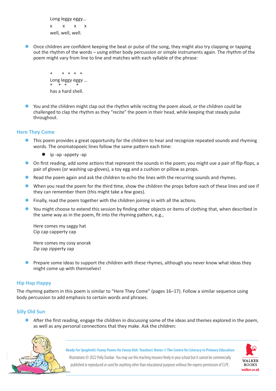Long leggy eggy… x x x x well, well, well.

z Once children are confident keeping the beat or pulse of the song, they might also try clapping or tapping out the rhythm of the words – using either body percussion or simple instruments again. The rhythm of the poem might vary from line to line and matches with each syllable of the phrase:

> \* \* \* \* \* Long leggy eggy … \* \* \* \* has a hard shell.

You and the children might clap out the rhythm while reciting the poem aloud, or the children could be challenged to clap the rhythm as they "recite" the poem in their head, while keeping that steady pulse throughout.

## **Here They Come**

- This poem provides a great opportunity for the children to hear and recognize repeated sounds and rhyming words. The onomatopoeic lines follow the same pattern each time:
	- $\bullet$  ip -ap -appety -ap
- On first reading, add some actions that represent the sounds in the poem; you might use a pair of flip-flops, a pair of gloves (or washing up-gloves), a toy egg and a cushion or pillow as props.
- Read the poem again and ask the children to echo the lines with the recurring sounds and rhymes.
- When you read the poem for the third time, show the children the props before each of these lines and see if they can remember them (this might take a few goes).
- $\bullet$  Finally, read the poem together with the children joining in with all the actions.
- You might choose to extend this session by finding other objects or items of clothing that, when described in the same way as in the poem, fit into the rhyming pattern, e.g.,

Here comes my saggy hat Cip cap capperty cap

Here comes my cosy anorak Zip zap zipperty zap

Prepare some ideas to support the children with these rhymes, although you never know what ideas they might come up with themselves!

## **Hip Hap Happy**

The rhyming pattern in this poem is similar to "Here They Come" (pages 16–17). Follow a similar sequence using body percussion to add emphasis to certain words and phrases.

#### **Silly Old Sun**

After the first reading, engage the children in discussing some of the ideas and themes explored in the poem, as well as any personal connections that they make. Ask the children:



*Ready For Spaghetti: Funny Poems for Funny Kids* **Teachers' Notes** *©* **The Centre for Literacy in Primary Education** Illustrations © 2022 Polly Dunbar. You may use this teaching resource freely in your school but it cannot be commercially

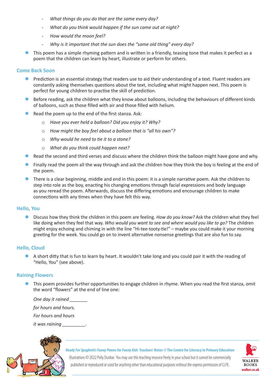- *- What things do you do that are the same every day?*
- *- What do you think would happen if the sun came out at night?*
- *- How would the moon feel?*
- *- Why is it important that the sun does the "same old thing" every day?*
- This poem has a simple rhyming pattern and is written in a friendly, teasing tone that makes it perfect as a poem that the children can learn by heart, illustrate or perform for others.

#### **Come Back Soon**

- Prediction is an essential strategy that readers use to aid their understanding of a text. Fluent readers are constantly asking themselves questions about the text, including what might happen next. This poem is perfect for young children to practise the skill of prediction.
- Before reading, ask the children what they know about balloons, including the behaviours of different kinds of balloons, such as those filled with air and those filled with helium.
- Read the poem up to the end of the first stanza. Ask:
	- o *Have you ever held a balloon? Did you enjoy it? Why?*
	- o *How might the boy feel about a balloon that is "all his own"?*
	- o *Why would he need to tie it to a stone?*
	- o *What do you think could happen next?*
- Read the second and third verses and discuss where the children think the balloon might have gone and why.
- Finally read the poem all the way through and ask the children how they think the boy is feeling at the end of the poem.
- There is a clear beginning, middle and end in this poem: it is a simple narrative poem. Ask the children to step into role as the boy, enacting his changing emotions through facial expressions and body language as you reread the poem. Afterwards, discuss the differing emotions and encourage children to make connections with any times when they have felt this way.

#### **Hello, You**

**•** Discuss how they think the children in this poem are feeling. *How do you know?* Ask the children what they feel like doing when they feel that way. *Who would you want to see and where would you like to go?* The children might enjoy echoing and chiming in with the line "Hi-tee-tooty-tie!" – maybe you could make it your morning greeting for the week. You could go on to invent alternative nonsense greetings that are also fun to say.

## **Hello, Cloud**

A short ditty that is fun to learn by heart. It wouldn't take long and you could pair it with the reading of "Hello, You" (see above).

## **Raining Flowers**

This poem provides further opportunities to engage children in rhyme. When you read the first stanza, omit the word "flowers" at the end of line one:

*One day it rained \_\_\_\_\_\_\_*

*for hours and hours.*

*For hours and hours*

*it was raining \_\_\_\_\_\_\_\_\_.*



*Ready For Spaghetti: Funny Poems for Funny Kids* **Teachers' Notes** *©* **The Centre for Literacy in Primary Education**

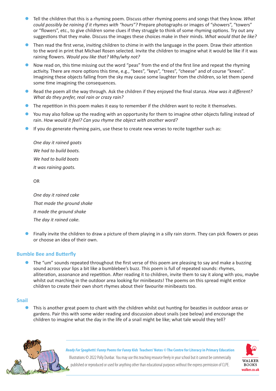- z Tell the children that this is a rhyming poem. Discuss other rhyming poems and songs that they know. *What could possibly be raining if it rhymes with "hours"?* Prepare photographs or images of "showers", "towers" or "flowers", etc., to give children some clues if they struggle to think of some rhyming options. Try out any suggestions that they make. Discuss the images these choices make in their minds. *What would that be like?*
- Then read the first verse, inviting children to chime in with the language in the poem. Draw their attention to the word in print that Michael Rosen selected. Invite the children to imagine what it would be like if it was raining flowers. *Would you like that? Why/why not?*
- Now read on, this time missing out the word "peas" from the end of the first line and repeat the rhyming activity. There are more options this time, e.g., "bees", "keys", "trees", "cheese" and of course "knees"*.*  Imagining these objects falling from the sky may cause some laughter from the children, so let them spend some time imagining the consequences.
- z Read the poem all the way through. Ask the children if they enjoyed the final stanza. *How was it different? What do they prefer, real rain or crazy rain?*
- The repetition in this poem makes it easy to remember if the children want to recite it themselves.
- You may also follow up the reading with an opportunity for them to imagine other objects falling instead of rain. *How would it feel? Can you rhyme the object with another word?*
- If you do generate rhyming pairs, use these to create new verses to recite together such as:

*One day it rained goats We had to build boats. We had to build boats It was raining goats.*

OR

*One day it rained cake That made the ground shake It made the ground shake The day it rained cake.*

Finally invite the children to draw a picture of them playing in a silly rain storm. They can pick flowers or peas or choose an idea of their own.

## **Bumble Bee and Butterfly**

The "um" sounds repeated throughout the first verse of this poem are pleasing to say and make a buzzing sound across your lips a bit like a bumblebee's buzz. This poem is full of repeated sounds: rhymes, alliteration, assonance and repetition. After reading it to children, invite them to say it along with you, maybe whilst out marching in the outdoor area looking for minibeasts! The poems on this spread might entice children to create their own short rhymes about their favourite minibeasts too.

## **Snail**

This is another great poem to chant with the children whilst out hunting for beasties in outdoor areas or gardens. Pair this with some wider reading and discussion about snails (see below) and encourage the children to imagine what the day in the life of a snail might be like; what tale would they tell?



*Ready For Spaghetti: Funny Poems for Funny Kids* **Teachers' Notes** *©* **The Centre for Literacy in Primary Education**

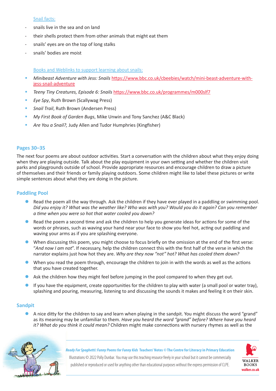#### Snail facts:

- snails live in the sea and on land
- their shells protect them from other animals that might eat them
- snails' eyes are on the top of long stalks
- snails' bodies are moist

Books and Weblinks to support learning about snails:

- *Minibeast Adventure with Jess: Snails* [https://www.bbc.co.uk/cbeebies/watch/mini-beast-adventure-with](https://www.bbc.co.uk/cbeebies/watch/mini-beast-adventure-with-jess-snail-adventure)[jess-snail-adventure](https://www.bbc.co.uk/cbeebies/watch/mini-beast-adventure-with-jess-snail-adventure)
- *Teeny Tiny Creatures, Episode 6: Snails* <https://www.bbc.co.uk/programmes/m000slf7>
- *Eye Spy*, Ruth Brown (Scallywag Press)
- *Snail Trail*, Ruth Brown (Andersen Press)
- *My First Book of Garden Bugs*, Mike Unwin and Tony Sanchez (A&C Black)
- *Are You a Snail?,* Judy Allen and Tudor Humphries (Kingfisher)

#### **Pages 30–35**

The next four poems are about outdoor activities. Start a conversation with the children about what they enjoy doing when they are playing outside. Talk about the play equipment in your own setting and whether the children visit parks and playgrounds outside of school. Provide appropriate resources and encourage children to draw a picture of themselves and their friends or family playing outdoors. Some children might like to label these pictures or write simple sentences about what they are doing in the picture.

## **Paddling Pool**

- Read the poem all the way through. Ask the children if they have ever played in a paddling or swimming pool. *Did you enjoy it? What was the weather like? Who was with you? Would you do it again? Can you remember a time when you were so hot that water cooled you down?*
- Read the poem a second time and ask the children to help you generate ideas for actions for some of the words or phrases, such as waving your hand near your face to show you feel hot, acting out paddling and waving your arms as if you are splashing everyone.
- When discussing this poem, you might choose to focus briefly on the omission at the end of the first verse: "*And now I am not*". If necessary, help the children connect this with the first half of the verse in which the narrator explains just how hot they are. *Why are they now "not" hot? What has cooled them down?*
- When you read the poem through, encourage the children to join in with the words as well as the actions that you have created together.
- Ask the children how they might feel before jumping in the pool compared to when they get out.
- If you have the equipment, create opportunities for the children to play with water (a small pool or water tray), splashing and pouring, measuring, listening to and discussing the sounds it makes and feeling it on their skin.

## **Sandpit**

A nice ditty for the children to say and learn when playing in the sandpit. You might discuss the word "grand" as its meaning may be unfamiliar to them. *Have you heard the word "grand" before? Where have you heard it? What do you think it could mean?* Children might make connections with nursery rhymes as well as the



*Ready For Spaghetti: Funny Poems for Funny Kids* **Teachers' Notes** *©* **The Centre for Literacy in Primary Education** Illustrations © 2022 Polly Dunbar. You may use this teaching resource freely in your school but it cannot be commercially

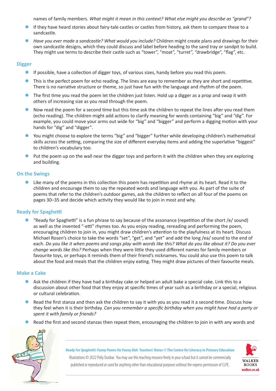names of family members. *What might it mean in this context? What else might you describe as "grand"?*

- If they have heard stories about fairy-tale castles or castles from history, ask them to compare these to a sandcastle.
- **Have you ever made a sandcastle? What would you include? Children might create plans and drawings for their** own sandcastle designs, which they could discuss and label before heading to the sand tray or sandpit to build. They might use terms to describe their castle such as "tower", "moat", "turret", "drawbridge", "flag", etc.

## **Digger**

- $\bullet$  If possible, have a collection of digger toys, of various sizes, handy before you read this poem.
- This is the perfect poem for echo reading. The lines are easy to remember as they are short and repetitive. There is no narrative structure or theme, so just have fun with the language and rhythm of the poem.
- $\bullet$  The first time you read the poem let the children just listen. Hold up a digger as a prop and swap it with others of increasing size as you read through the poem.
- Now read the poem for a second time but this time ask the children to repeat the lines after you read them (echo reading). The children might add actions to clarify meaning for words containing "big" and "dig". For example, you could move your arms out wide for "big" and "bigger" and perform a digging motion with your hands for "dig" and "digger"*.*
- You might choose to explore the terms "big" and "bigger" further while developing children's mathematical skills across the setting, comparing the size of different everyday items and adding the superlative "biggest" to children's vocabulary too.
- $\bullet$  Put the poem up on the wall near the digger toys and perform it with the children when they are exploring and building.

## **On the Swings**

Like many of the poems in this collection this poem has repetition and rhyme at its heart. Read it to the children and encourage them to say the repeated words and language with you. As part of the suite of poems that refer to the children's outdoor games, ask the children to reflect on all four of the poems on pages 30–35 and decide which activity they would like to join in most and why.

# **Ready for Spaghetti**

"Ready for Spaghetti" is a fun phrase to say because of the assonance (repetition of the short /e/ sound) as well as the invented "-etti" rhymes too. As you enjoy reading, rereading and performing the poem, encouraging children to join in, you might draw children's attention to the playfulness at its heart. Discuss Michael Rosen's choice to take the words "set", "get", and "yet" and add the long /ea/ sound to the end of each. *Do you like it when poems and songs play with words like this? What do you like about it? Do you ever change words like this?* Perhaps when they were little they used different names for family members or favourite toys, or perhaps it reminds them of their friend's nicknames. You could also use this poem to talk about the food and meals that the children enjoy eating. They might draw pictures of their favourite meals.

## **Make a Cake**

- Ask the children if they have had a birthday cake or helped an adult bake a special cake. Link this to a discussion about other food that they enjoy at specific times of year such as a birthday or a special, religious or cultural celebration.
- Read the first stanza and then ask the children to say it with you as you read it a second time. Discuss how they feel when it is their birthday. *Can you remember a specific birthday when you might have had a party or spent it with family or friends?*
- Read the first and second stanzas then repeat them, encouraging the children to join in with any words and



*Ready For Spaghetti: Funny Poems for Funny Kids* **Teachers' Notes** *©* **The Centre for Literacy in Primary Education** Illustrations © 2022 Polly Dunbar. You may use this teaching resource freely in your school but it cannot be commercially published or reproduced or used for anything other than educational purposes without the express permission of CLPE.

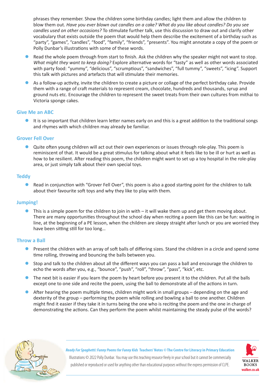phrases they remember. Show the children some birthday candles; light them and allow the children to blow them out. *Have you ever blown out candles on a cake? What do you like about candles? Do you see candles used on other occasions?* To stimulate further talk, use this discussion to draw out and clarify other vocabulary that exists outside the poem that would help them describe the excitement of a birthday such as "party", "games", "candles", "food", "family", "friends", "presents". You might annotate a copy of the poem or Polly Dunbar's illustrations with some of these words.

- Read the whole poem through from start to finish. Ask the children why the speaker might not want to stop. *What might they want to keep doing?* Explore alternative words for "tasty" as well as other words associated with party food: "yummy", "delicious", "scrumptious", "sandwiches", "full tummy", "sweets", "icing". Support this talk with pictures and artefacts that will stimulate their memories.
- As a follow-up activity, invite the children to create a picture or collage of the perfect birthday cake. Provide them with a range of craft materials to represent cream, chocolate, hundreds and thousands, syrup and ground nuts etc. Encourage the children to represent the sweet treats from their own cultures from mithai to Victoria sponge cakes.

#### **Give Me an ABC**

It is so important that children learn letter names early on and this is a great addition to the traditional songs and rhymes with which children may already be familiar.

## **Grover Fell Over**

**•** Quite often young children will act out their own experiences or issues through role-play. This poem is reminiscent of that. It would be a great stimulus for talking about what it feels like to be ill or hurt as well as how to be resilient. After reading this poem, the children might want to set up a toy hospital in the role-play area, or just simply talk about their own special toys.

#### **Teddy**

Read in conjunction with "Grover Fell Over", this poem is also a good starting point for the children to talk about their favourite soft toys and why they like to play with them.

## **Jumping!**

This is a simple poem for the children to join in with  $-$  it will wake them up and get them moving about. There are many opportunities throughout the school day when reciting a poem like this can be fun: waiting in line, at the beginning of a PE lesson, when the children are sleepy straight after lunch or you are worried they have been sitting still for too long…

#### **Throw a Ball**

- Present the children with an array of soft balls of differing sizes. Stand the children in a circle and spend some time rolling, throwing and bouncing the balls between you.
- Stop and talk to the children about all the different ways you can pass a ball and encourage the children to echo the words after you, e.g., "bounce", "push", "roll", "throw", "pass", "kick", etc.
- The next bit is easier if you learn the poem by heart before you present it to the children. Put all the balls except one to one side and recite the poem, using the ball to demonstrate all of the actions in turn.
- After hearing the poem multiple times, children might work in small groups depending on the age and dexterity of the group – performing the poem while rolling and bowling a ball to one another. Children might find it easier if they take it in turns being the one who is reciting the poem and the one in charge of demonstrating the actions. Can they perform the poem whilst maintaining the steady pulse of the words?



*Ready For Spaghetti: Funny Poems for Funny Kids* **Teachers' Notes** *©* **The Centre for Literacy in Primary Education**

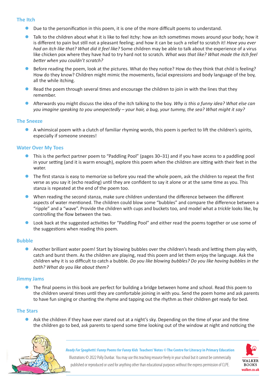#### **The Itch**

- Due to the personification in this poem, it is one of the more difficult poems to understand.
- Talk to the children about what it is like to feel itchy: how an itch sometimes moves around your body; how it is different to pain but still not a pleasant feeling; and how it can be such a relief to scratch it! *Have you ever had an itch like that? What did it feel like?* Some children may be able to talk about the experience of a virus like chicken pox where they have had to try hard not to scratch. *What was that like? What made the itch feel better when you couldn't scratch?*
- Before reading the poem, look at the pictures. What do they notice? How do they think that child is feeling? How do they know? Children might mimic the movements, facial expressions and body language of the boy, all the while itching.
- Read the poem through several times and encourage the children to join in with the lines that they remember.
- **•** Afterwards you might discuss the idea of the itch talking to the boy. *Why is this a funny idea? What else can you imagine speaking to you unexpectedly – your hair, a bug, your tummy, the sea? What might it say?*

#### **The Sneeze**

A whimsical poem with a clutch of familiar rhyming words, this poem is perfect to lift the children's spirits, especially if someone sneezes!

#### **Water Over My Toes**

- z This is the perfect partner poem to "Paddling Pool" (pages 30–31) and if you have access to a paddling pool in your setting (and it is warm enough), explore this poem when the children are sitting with their feet in the water.
- The first stanza is easy to memorize so before you read the whole poem, ask the children to repeat the first verse as you say it (echo reading) until they are confident to say it alone or at the same time as you. This stanza is repeated at the end of the poem too.
- When reading the second stanza, make sure children understand the difference between the different aspects of water mentioned. The children could blow some "bubbles" and compare the difference between a "ripple" and a "wave". Provide the children with cups and buckets too, and model what a *trickle* looks like, by controlling the flow between the two.
- Look back at the suggested activities for "Paddling Pool" and either read the poems together or use some of the suggestions when reading this poem.

#### **Bubble**

**•** Another brilliant water poem! Start by blowing bubbles over the children's heads and letting them play with, catch and burst them. As the children are playing, read this poem and let them enjoy the language. Ask the children why it is so difficult to catch a bubble. *Do you like blowing bubbles? Do you like having bubbles in the bath? What do you like about them?*

#### **Jimmy Jams**

The final poems in this book are perfect for building a bridge between home and school. Read this poem to the children several times until they are comfortable joining in with you. Send the poem home and ask parents to have fun singing or chanting the rhyme and tapping out the rhythm as their children get ready for bed.

## **The Stars**

Ask the children if they have ever stared out at a night's sky. Depending on the time of year and the time the children go to bed, ask parents to spend some time looking out of the window at night and noticing the



*Ready For Spaghetti: Funny Poems for Funny Kids* **Teachers' Notes** *©* **The Centre for Literacy in Primary Education** Illustrations © 2022 Polly Dunbar. You may use this teaching resource freely in your school but it cannot be commercially